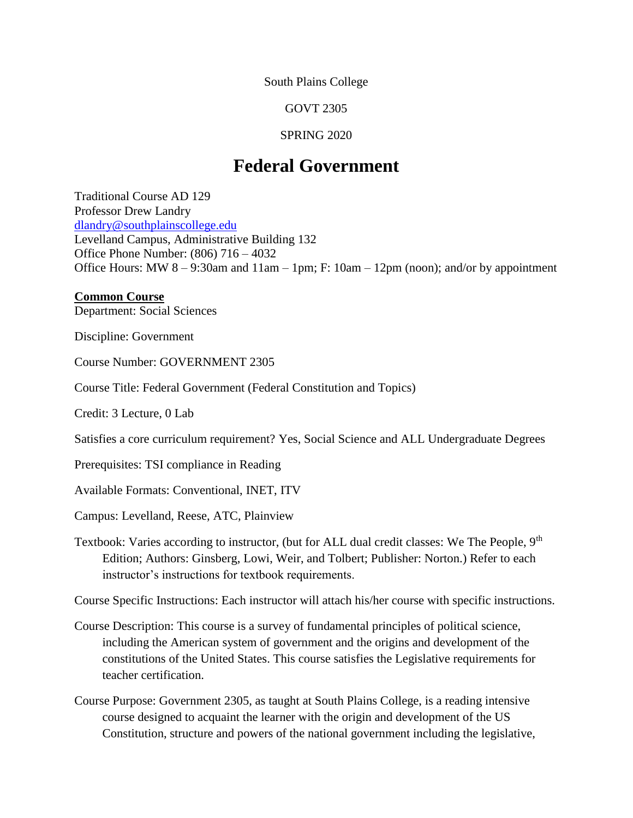South Plains College

GOVT 2305

#### SPRING 2020

# **Federal Government**

Traditional Course AD 129 Professor Drew Landry [dlandry@southplainscollege.edu](mailto:dlandry@southplainscollege.edu) Levelland Campus, Administrative Building 132 Office Phone Number: (806) 716 – 4032 Office Hours: MW 8 – 9:30am and 11am – 1pm; F: 10am – 12pm (noon); and/or by appointment

#### **Common Course**

Department: Social Sciences

Discipline: Government

Course Number: GOVERNMENT 2305

Course Title: Federal Government (Federal Constitution and Topics)

Credit: 3 Lecture, 0 Lab

Satisfies a core curriculum requirement? Yes, Social Science and ALL Undergraduate Degrees

Prerequisites: TSI compliance in Reading

Available Formats: Conventional, INET, ITV

Campus: Levelland, Reese, ATC, Plainview

Textbook: Varies according to instructor, (but for ALL dual credit classes: We The People, 9<sup>th</sup> Edition; Authors: Ginsberg, Lowi, Weir, and Tolbert; Publisher: Norton.) Refer to each instructor's instructions for textbook requirements.

Course Specific Instructions: Each instructor will attach his/her course with specific instructions.

- Course Description: This course is a survey of fundamental principles of political science, including the American system of government and the origins and development of the constitutions of the United States. This course satisfies the Legislative requirements for teacher certification.
- Course Purpose: Government 2305, as taught at South Plains College, is a reading intensive course designed to acquaint the learner with the origin and development of the US Constitution, structure and powers of the national government including the legislative,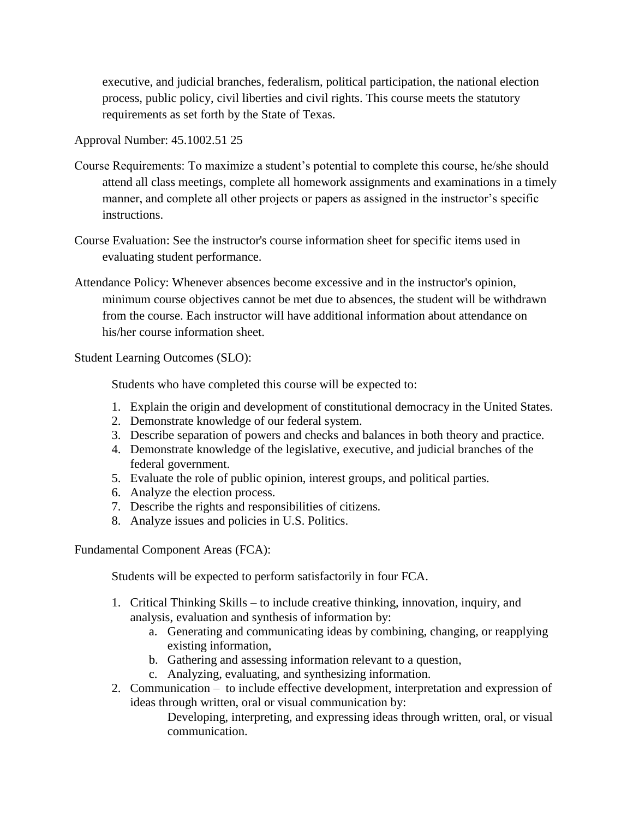executive, and judicial branches, federalism, political participation, the national election process, public policy, civil liberties and civil rights. This course meets the statutory requirements as set forth by the State of Texas.

Approval Number: 45.1002.51 25

- Course Requirements: To maximize a student's potential to complete this course, he/she should attend all class meetings, complete all homework assignments and examinations in a timely manner, and complete all other projects or papers as assigned in the instructor's specific instructions.
- Course Evaluation: See the instructor's course information sheet for specific items used in evaluating student performance.
- Attendance Policy: Whenever absences become excessive and in the instructor's opinion, minimum course objectives cannot be met due to absences, the student will be withdrawn from the course. Each instructor will have additional information about attendance on his/her course information sheet.

Student Learning Outcomes (SLO):

Students who have completed this course will be expected to:

- 1. Explain the origin and development of constitutional democracy in the United States.
- 2. Demonstrate knowledge of our federal system.
- 3. Describe separation of powers and checks and balances in both theory and practice.
- 4. Demonstrate knowledge of the legislative, executive, and judicial branches of the federal government.
- 5. Evaluate the role of public opinion, interest groups, and political parties.
- 6. Analyze the election process.
- 7. Describe the rights and responsibilities of citizens.
- 8. Analyze issues and policies in U.S. Politics.

Fundamental Component Areas (FCA):

Students will be expected to perform satisfactorily in four FCA.

- 1. Critical Thinking Skills to include creative thinking, innovation, inquiry, and analysis, evaluation and synthesis of information by:
	- a. Generating and communicating ideas by combining, changing, or reapplying existing information,
	- b. Gathering and assessing information relevant to a question,
	- c. Analyzing, evaluating, and synthesizing information.
- 2. Communication to include effective development, interpretation and expression of ideas through written, oral or visual communication by:

Developing, interpreting, and expressing ideas through written, oral, or visual communication.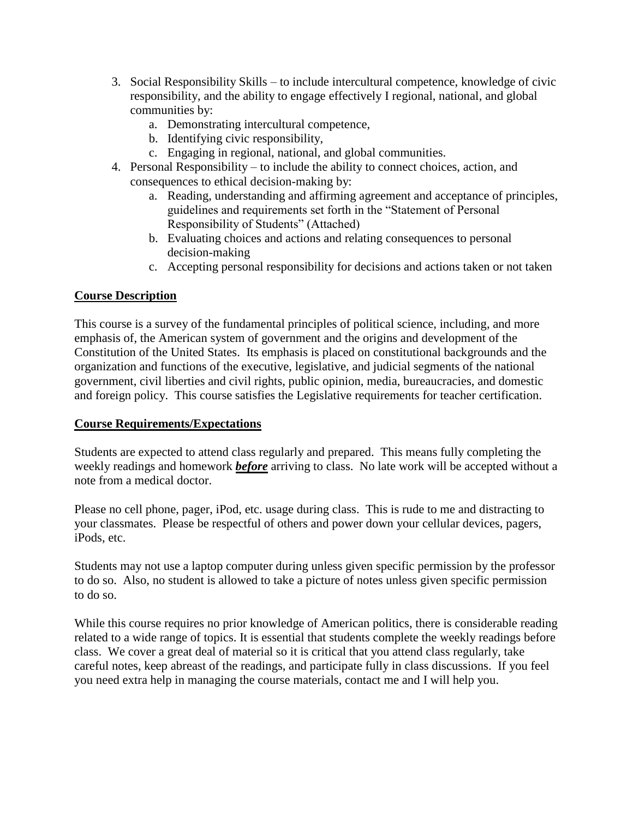- 3. Social Responsibility Skills to include intercultural competence, knowledge of civic responsibility, and the ability to engage effectively I regional, national, and global communities by:
	- a. Demonstrating intercultural competence,
	- b. Identifying civic responsibility,
	- c. Engaging in regional, national, and global communities.
- 4. Personal Responsibility to include the ability to connect choices, action, and consequences to ethical decision-making by:
	- a. Reading, understanding and affirming agreement and acceptance of principles, guidelines and requirements set forth in the "Statement of Personal Responsibility of Students" (Attached)
	- b. Evaluating choices and actions and relating consequences to personal decision-making
	- c. Accepting personal responsibility for decisions and actions taken or not taken

# **Course Description**

This course is a survey of the fundamental principles of political science, including, and more emphasis of, the American system of government and the origins and development of the Constitution of the United States. Its emphasis is placed on constitutional backgrounds and the organization and functions of the executive, legislative, and judicial segments of the national government, civil liberties and civil rights, public opinion, media, bureaucracies, and domestic and foreign policy. This course satisfies the Legislative requirements for teacher certification.

### **Course Requirements/Expectations**

Students are expected to attend class regularly and prepared. This means fully completing the weekly readings and homework *before* arriving to class. No late work will be accepted without a note from a medical doctor.

Please no cell phone, pager, iPod, etc. usage during class. This is rude to me and distracting to your classmates. Please be respectful of others and power down your cellular devices, pagers, iPods, etc.

Students may not use a laptop computer during unless given specific permission by the professor to do so. Also, no student is allowed to take a picture of notes unless given specific permission to do so.

While this course requires no prior knowledge of American politics, there is considerable reading related to a wide range of topics. It is essential that students complete the weekly readings before class. We cover a great deal of material so it is critical that you attend class regularly, take careful notes, keep abreast of the readings, and participate fully in class discussions. If you feel you need extra help in managing the course materials, contact me and I will help you.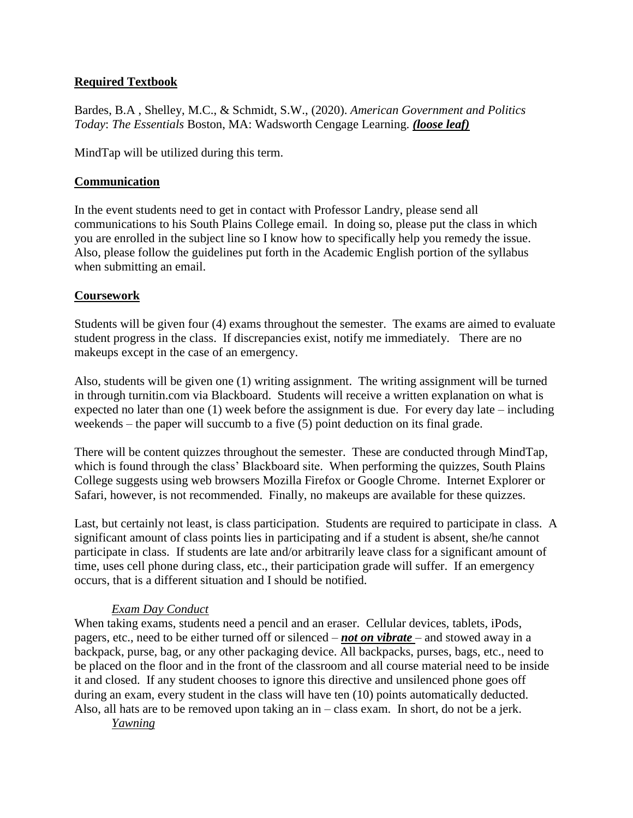## **Required Textbook**

Bardes, B.A , Shelley, M.C., & Schmidt, S.W., (2020). *American Government and Politics Today*: *The Essentials* Boston, MA: Wadsworth Cengage Learning. *(loose leaf)*

MindTap will be utilized during this term.

# **Communication**

In the event students need to get in contact with Professor Landry, please send all communications to his South Plains College email. In doing so, please put the class in which you are enrolled in the subject line so I know how to specifically help you remedy the issue. Also, please follow the guidelines put forth in the Academic English portion of the syllabus when submitting an email.

# **Coursework**

Students will be given four (4) exams throughout the semester. The exams are aimed to evaluate student progress in the class. If discrepancies exist, notify me immediately. There are no makeups except in the case of an emergency.

Also, students will be given one (1) writing assignment. The writing assignment will be turned in through turnitin.com via Blackboard. Students will receive a written explanation on what is expected no later than one (1) week before the assignment is due. For every day late – including weekends – the paper will succumb to a five (5) point deduction on its final grade.

There will be content quizzes throughout the semester. These are conducted through MindTap, which is found through the class' Blackboard site. When performing the quizzes, South Plains College suggests using web browsers Mozilla Firefox or Google Chrome. Internet Explorer or Safari, however, is not recommended. Finally, no makeups are available for these quizzes.

Last, but certainly not least, is class participation. Students are required to participate in class. A significant amount of class points lies in participating and if a student is absent, she/he cannot participate in class. If students are late and/or arbitrarily leave class for a significant amount of time, uses cell phone during class, etc., their participation grade will suffer. If an emergency occurs, that is a different situation and I should be notified.

# *Exam Day Conduct*

When taking exams, students need a pencil and an eraser. Cellular devices, tablets, iPods, pagers, etc., need to be either turned off or silenced – *not on vibrate* – and stowed away in a backpack, purse, bag, or any other packaging device. All backpacks, purses, bags, etc., need to be placed on the floor and in the front of the classroom and all course material need to be inside it and closed. If any student chooses to ignore this directive and unsilenced phone goes off during an exam, every student in the class will have ten (10) points automatically deducted. Also, all hats are to be removed upon taking an in – class exam. In short, do not be a jerk.

*Yawning*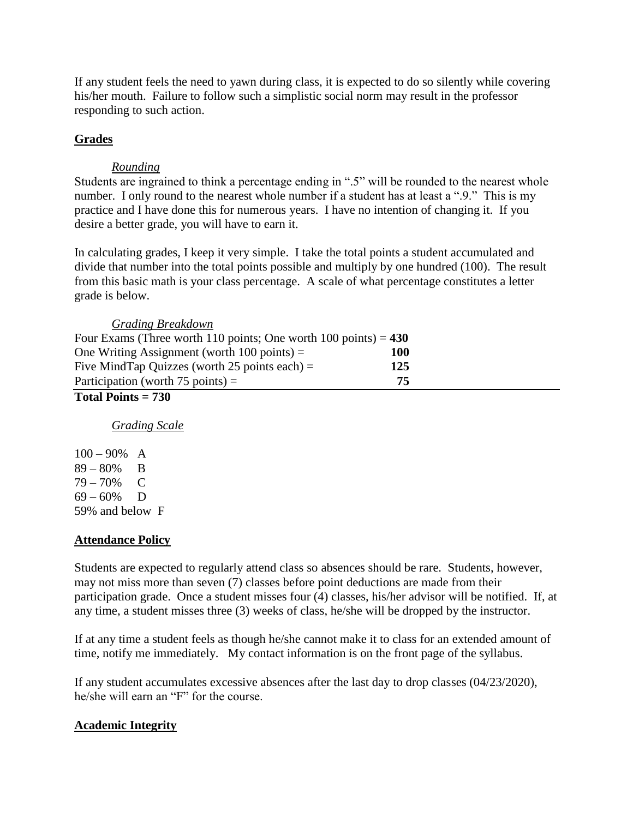If any student feels the need to yawn during class, it is expected to do so silently while covering his/her mouth. Failure to follow such a simplistic social norm may result in the professor responding to such action.

### **Grades**

### *Rounding*

Students are ingrained to think a percentage ending in ".5" will be rounded to the nearest whole number. I only round to the nearest whole number if a student has at least a ".9." This is my practice and I have done this for numerous years. I have no intention of changing it. If you desire a better grade, you will have to earn it.

In calculating grades, I keep it very simple. I take the total points a student accumulated and divide that number into the total points possible and multiply by one hundred (100). The result from this basic math is your class percentage. A scale of what percentage constitutes a letter grade is below.

| Four Exams (Three worth 110 points; One worth 100 points) = $430$ |  |
|-------------------------------------------------------------------|--|
| 100                                                               |  |
| 125                                                               |  |
| 75                                                                |  |
|                                                                   |  |

# **Total Points = 730**

*Grading Scale*

 $100 - 90\%$  A 89 – 80% B 79 – 70% C  $69 - 60\%$  D 59% and below F

# **Attendance Policy**

Students are expected to regularly attend class so absences should be rare. Students, however, may not miss more than seven (7) classes before point deductions are made from their participation grade. Once a student misses four (4) classes, his/her advisor will be notified. If, at any time, a student misses three (3) weeks of class, he/she will be dropped by the instructor.

If at any time a student feels as though he/she cannot make it to class for an extended amount of time, notify me immediately. My contact information is on the front page of the syllabus.

If any student accumulates excessive absences after the last day to drop classes (04/23/2020), he/she will earn an "F" for the course.

# **Academic Integrity**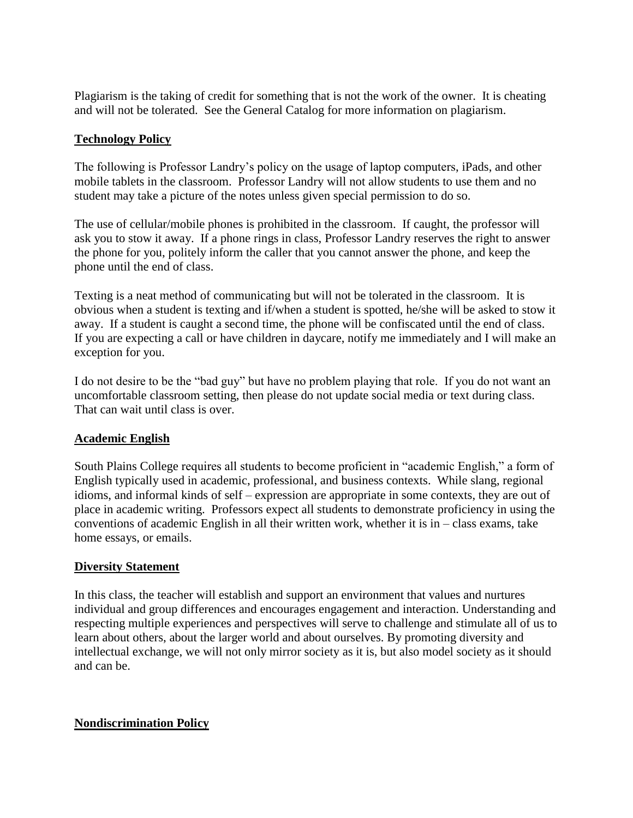Plagiarism is the taking of credit for something that is not the work of the owner. It is cheating and will not be tolerated. See the General Catalog for more information on plagiarism.

#### **Technology Policy**

The following is Professor Landry's policy on the usage of laptop computers, iPads, and other mobile tablets in the classroom. Professor Landry will not allow students to use them and no student may take a picture of the notes unless given special permission to do so.

The use of cellular/mobile phones is prohibited in the classroom. If caught, the professor will ask you to stow it away. If a phone rings in class, Professor Landry reserves the right to answer the phone for you, politely inform the caller that you cannot answer the phone, and keep the phone until the end of class.

Texting is a neat method of communicating but will not be tolerated in the classroom. It is obvious when a student is texting and if/when a student is spotted, he/she will be asked to stow it away. If a student is caught a second time, the phone will be confiscated until the end of class. If you are expecting a call or have children in daycare, notify me immediately and I will make an exception for you.

I do not desire to be the "bad guy" but have no problem playing that role. If you do not want an uncomfortable classroom setting, then please do not update social media or text during class. That can wait until class is over.

### **Academic English**

South Plains College requires all students to become proficient in "academic English," a form of English typically used in academic, professional, and business contexts. While slang, regional idioms, and informal kinds of self – expression are appropriate in some contexts, they are out of place in academic writing. Professors expect all students to demonstrate proficiency in using the conventions of academic English in all their written work, whether it is in – class exams, take home essays, or emails.

#### **Diversity Statement**

In this class, the teacher will establish and support an environment that values and nurtures individual and group differences and encourages engagement and interaction. Understanding and respecting multiple experiences and perspectives will serve to challenge and stimulate all of us to learn about others, about the larger world and about ourselves. By promoting diversity and intellectual exchange, we will not only mirror society as it is, but also model society as it should and can be.

#### **Nondiscrimination Policy**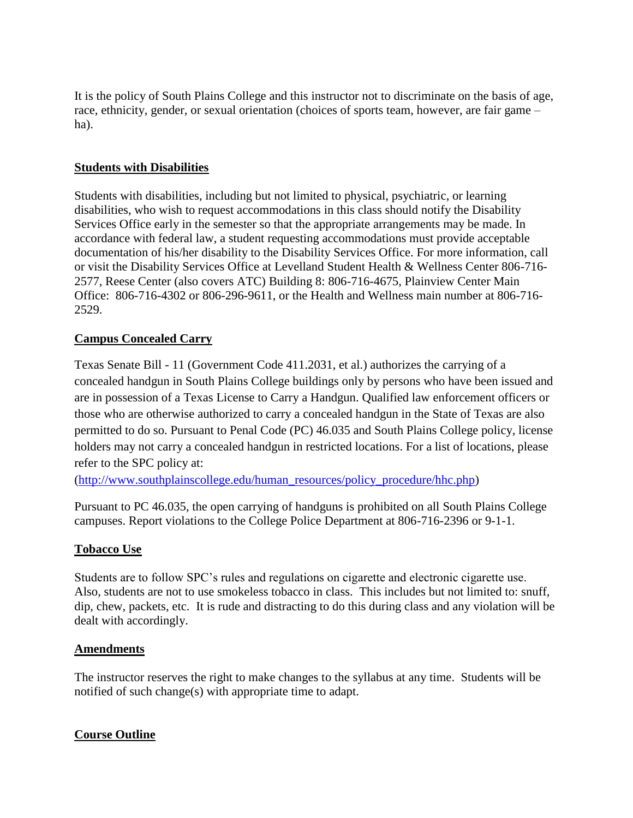It is the policy of South Plains College and this instructor not to discriminate on the basis of age, race, ethnicity, gender, or sexual orientation (choices of sports team, however, are fair game – ha).

### **Students with Disabilities**

Students with disabilities, including but not limited to physical, psychiatric, or learning disabilities, who wish to request accommodations in this class should notify the Disability Services Office early in the semester so that the appropriate arrangements may be made. In accordance with federal law, a student requesting accommodations must provide acceptable documentation of his/her disability to the Disability Services Office. For more information, call or visit the Disability Services Office at Levelland Student Health & Wellness Center 806-716- 2577, Reese Center (also covers ATC) Building 8: 806-716-4675, Plainview Center Main Office: 806-716-4302 or 806-296-9611, or the Health and Wellness main number at 806-716- 2529.

# **Campus Concealed Carry**

Texas Senate Bill - 11 (Government Code 411.2031, et al.) authorizes the carrying of a concealed handgun in South Plains College buildings only by persons who have been issued and are in possession of a Texas License to Carry a Handgun. Qualified law enforcement officers or those who are otherwise authorized to carry a concealed handgun in the State of Texas are also permitted to do so. Pursuant to Penal Code (PC) 46.035 and South Plains College policy, license holders may not carry a concealed handgun in restricted locations. For a list of locations, please refer to the SPC policy at:

[\(http://www.southplainscollege.edu/human\\_resources/policy\\_procedure/hhc.php\)](http://www.southplainscollege.edu/human_resources/policy_procedure/hhc.php)

Pursuant to PC 46.035, the open carrying of handguns is prohibited on all South Plains College campuses. Report violations to the College Police Department at 806-716-2396 or 9-1-1.

### **Tobacco Use**

Students are to follow SPC's rules and regulations on cigarette and electronic cigarette use. Also, students are not to use smokeless tobacco in class. This includes but not limited to: snuff, dip, chew, packets, etc. It is rude and distracting to do this during class and any violation will be dealt with accordingly.

#### **Amendments**

The instructor reserves the right to make changes to the syllabus at any time. Students will be notified of such change(s) with appropriate time to adapt.

### **Course Outline**